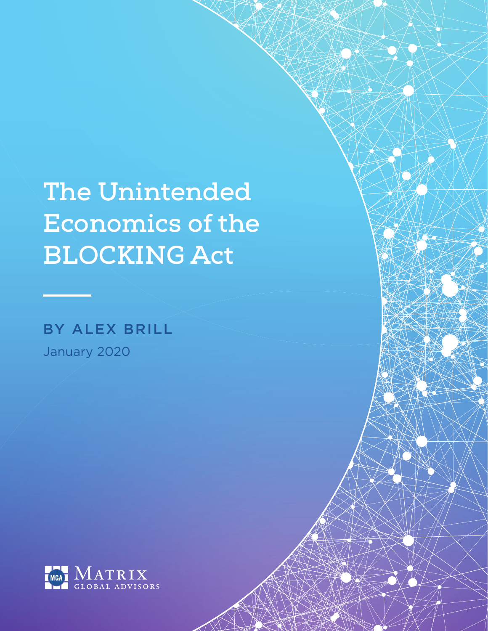# **The Unintended Economics of the BLOCKING Act**

# BY ALEX BRILL January 2020

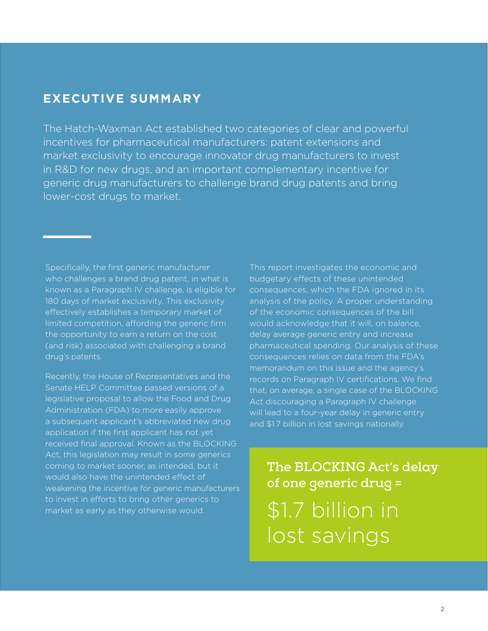# **EXECUTIVE SUMMARY**

The Hatch-Waxman Act established two categories of clear and powerful incentives for pharmaceutical manufacturers: patent extensions and market exclusivity to encourage innovator drug manufacturers to invest in R&D for new drugs, and an important complementary incentive for generic drug manufacturers to challenge brand drug patents and bring lower-cost drugs to market.

Specifically, the first generic manufacturer who challenges a brand drug patent, in what is known as a Paragraph IV challenge, is eligible for 180 days of market exclusivity. This exclusivity effectively establishes a temporary market of limited competition, affording the generic firm the opportunity to earn a return on the cost (and risk) associated with challenging a brand drug's patents.

Recently, the House of Representatives and the Senate HELP Committee passed versions of a legislative proposal to allow the Food and Drug Administration (FDA) to more easily approve a subsequent applicant's abbreviated new drug application if the first applicant has not yet received final approval. Known as the BLOCKING Act, this legislation may result in some generics coming to market sooner, as intended, but it would also have the unintended effect of weakening the incentive for generic manufacturers to invest in efforts to bring other generics to market as early as they otherwise would.

This report investigates the economic and budgetary effects of these unintended consequences, which the FDA ignored in its analysis of the policy. A proper understanding of the economic consequences of the bill would acknowledge that it will, on balance, delay average generic entry and increase pharmaceutical spending. Our analysis of these consequences relies on data from the FDA's memorandum on this issue and the agency's records on Paragraph IV certifications. We find that, on average, a single case of the BLOCKING Act discouraging a Paragraph IV challenge will lead to a four-year delay in generic entry and \$1.7 billion in lost savings nationally.

**The BLOCKING Act's delay of one generic drug =**  \$1.7 billion in lost savings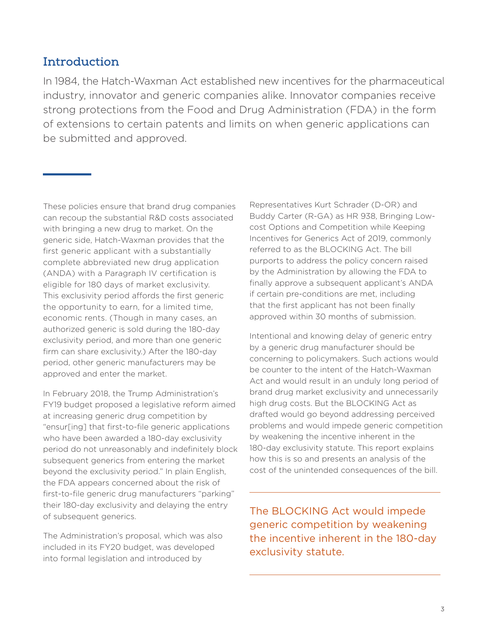## **Introduction**

In 1984, the Hatch-Waxman Act established new incentives for the pharmaceutical industry, innovator and generic companies alike. Innovator companies receive strong protections from the Food and Drug Administration (FDA) in the form of extensions to certain patents and limits on when generic applications can be submitted and approved.

These policies ensure that brand drug companies can recoup the substantial R&D costs associated with bringing a new drug to market. On the generic side, Hatch-Waxman provides that the first generic applicant with a substantially complete abbreviated new drug application (ANDA) with a Paragraph IV certification is eligible for 180 days of market exclusivity. This exclusivity period affords the first generic the opportunity to earn, for a limited time, economic rents. (Though in many cases, an authorized generic is sold during the 180-day exclusivity period, and more than one generic firm can share exclusivity.) After the 180-day period, other generic manufacturers may be approved and enter the market.

In February 2018, the Trump Administration's FY19 budget proposed a legislative reform aimed at increasing generic drug competition by "ensur[ing] that first-to-file generic applications who have been awarded a 180-day exclusivity period do not unreasonably and indefinitely block subsequent generics from entering the market beyond the exclusivity period." In plain English, the FDA appears concerned about the risk of first-to-file generic drug manufacturers "parking" their 180-day exclusivity and delaying the entry of subsequent generics.

The Administration's proposal, which was also included in its FY20 budget, was developed into formal legislation and introduced by

Representatives Kurt Schrader (D-OR) and Buddy Carter (R-GA) as HR 938, Bringing Lowcost Options and Competition while Keeping Incentives for Generics Act of 2019, commonly referred to as the BLOCKING Act. The bill purports to address the policy concern raised by the Administration by allowing the FDA to finally approve a subsequent applicant's ANDA if certain pre-conditions are met, including that the first applicant has not been finally approved within 30 months of submission.

Intentional and knowing delay of generic entry by a generic drug manufacturer should be concerning to policymakers. Such actions would be counter to the intent of the Hatch-Waxman Act and would result in an unduly long period of brand drug market exclusivity and unnecessarily high drug costs. But the BLOCKING Act as drafted would go beyond addressing perceived problems and would impede generic competition by weakening the incentive inherent in the 180-day exclusivity statute. This report explains how this is so and presents an analysis of the cost of the unintended consequences of the bill.

The BLOCKING Act would impede generic competition by weakening the incentive inherent in the 180-day exclusivity statute.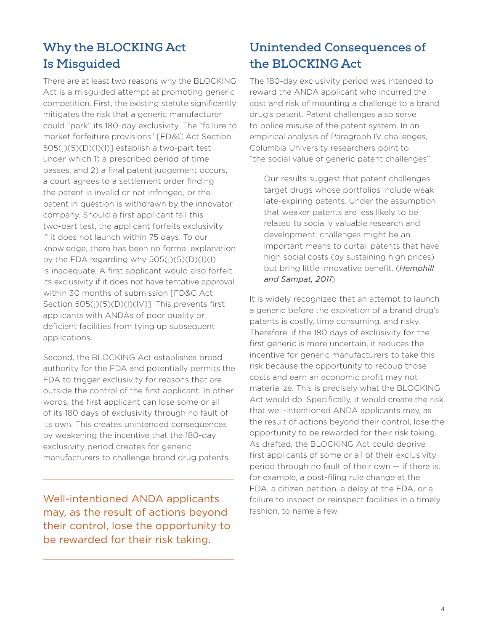# **Why the BLOCKING Act Is Misguided**

There are at least two reasons why the BLOCKING Act is a misguided attempt at promoting generic competition. First, the existing statute significantly mitigates the risk that a generic manufacturer could "park" its 180-day exclusivity. The "failure to market forfeiture provisions" [FD&C Act Section  $505(j)(5)(D)(l)(l)$ ] establish a two-part test under which 1) a prescribed period of time passes, and 2) a final patent judgement occurs, a court agrees to a settlement order finding the patent is invalid or not infringed, or the patent in question is withdrawn by the innovator company. Should a first applicant fail this two-part test, the applicant forfeits exclusivity if it does not launch within 75 days. To our knowledge, there has been no formal explanation by the FDA regarding why  $505(j)(5)(D)(l)(l)$ is inadequate. A first applicant would also forfeit its exclusivity if it does not have tentative approval within 30 months of submission [FD&C Act Section 505(j)(5)(D)(l)(IV)]. This prevents first applicants with ANDAs of poor quality or deficient facilities from tying up subsequent applications.

Second, the BLOCKING Act establishes broad authority for the FDA and potentially permits the FDA to trigger exclusivity for reasons that are outside the control of the first applicant. In other words, the first applicant can lose some or all of its 180 days of exclusivity through no fault of its own. This creates unintended consequences by weakening the incentive that the 180-day exclusivity period creates for generic manufacturers to challenge brand drug patents.

Well-intentioned ANDA applicants may, as the result of actions beyond their control, lose the opportunity to be rewarded for their risk taking.

# **Unintended Consequences of the BLOCKING Act**

The 180-day exclusivity period was intended to reward the ANDA applicant who incurred the cost and risk of mounting a challenge to a brand drug's patent. Patent challenges also serve to police misuse of the patent system. In an empirical analysis of Paragraph IV challenges, Columbia University researchers point to "the social value of generic patent challenges":

 Our results suggest that patent challenges target drugs whose portfolios include weak late-expiring patents. Under the assumption that weaker patents are less likely to be related to socially valuable research and development, challenges might be an important means to curtail patents that have high social costs (by sustaining high prices) but bring little innovative benefit. (*Hemphill and Sampat, 2011*)

It is widely recognized that an attempt to launch a generic before the expiration of a brand drug's patents is costly, time consuming, and risky. Therefore, if the 180 days of exclusivity for the first generic is more uncertain, it reduces the incentive for generic manufacturers to take this risk because the opportunity to recoup those costs and earn an economic profit may not materialize. This is precisely what the BLOCKING Act would do. Specifically, it would create the risk that well-intentioned ANDA applicants may, as the result of actions beyond their control, lose the opportunity to be rewarded for their risk taking. As drafted, the BLOCKING Act could deprive first applicants of some or all of their exclusivity period through no fault of their own — if there is, for example, a post-filing rule change at the FDA, a citizen petition, a delay at the FDA, or a failure to inspect or reinspect facilities in a timely fashion, to name a few.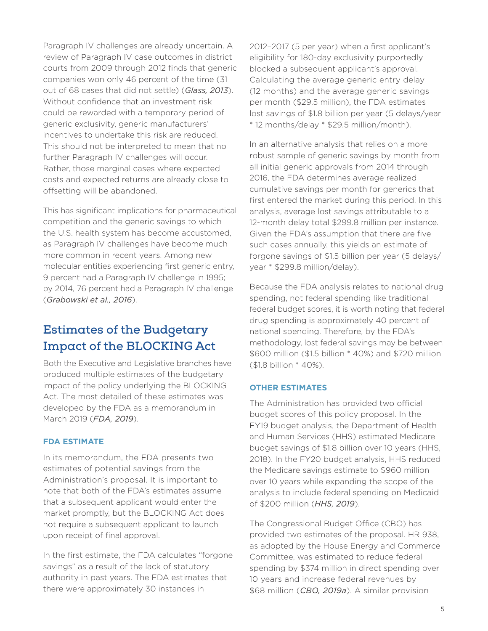Paragraph IV challenges are already uncertain. A review of Paragraph IV case outcomes in district courts from 2009 through 2012 finds that generic companies won only 46 percent of the time (31 out of 68 cases that did not settle) (*Glass, 2013*). Without confidence that an investment risk could be rewarded with a temporary period of generic exclusivity, generic manufacturers' incentives to undertake this risk are reduced. This should not be interpreted to mean that no further Paragraph IV challenges will occur. Rather, those marginal cases where expected costs and expected returns are already close to offsetting will be abandoned.

This has significant implications for pharmaceutical competition and the generic savings to which the U.S. health system has become accustomed, as Paragraph IV challenges have become much more common in recent years. Among new molecular entities experiencing first generic entry, 9 percent had a Paragraph IV challenge in 1995; by 2014, 76 percent had a Paragraph IV challenge (*Grabowski et al., 2016*).

# **Estimates of the Budgetary Impact of the BLOCKING Act**

Both the Executive and Legislative branches have produced multiple estimates of the budgetary impact of the policy underlying the BLOCKING Act. The most detailed of these estimates was developed by the FDA as a memorandum in March 2019 (*FDA, 2019*).

#### **FDA ESTIMATE**

In its memorandum, the FDA presents two estimates of potential savings from the Administration's proposal. It is important to note that both of the FDA's estimates assume that a subsequent applicant would enter the market promptly, but the BLOCKING Act does not require a subsequent applicant to launch upon receipt of final approval.

In the first estimate, the FDA calculates "forgone savings" as a result of the lack of statutory authority in past years. The FDA estimates that there were approximately 30 instances in

2012–2017 (5 per year) when a first applicant's eligibility for 180-day exclusivity purportedly blocked a subsequent applicant's approval. Calculating the average generic entry delay (12 months) and the average generic savings per month (\$29.5 million), the FDA estimates lost savings of \$1.8 billion per year (5 delays/year \* 12 months/delay \* \$29.5 million/month).

In an alternative analysis that relies on a more robust sample of generic savings by month from all initial generic approvals from 2014 through 2016, the FDA determines average realized cumulative savings per month for generics that first entered the market during this period. In this analysis, average lost savings attributable to a 12-month delay total \$299.8 million per instance. Given the FDA's assumption that there are five such cases annually, this yields an estimate of forgone savings of \$1.5 billion per year (5 delays/ year \* \$299.8 million/delay).

Because the FDA analysis relates to national drug spending, not federal spending like traditional federal budget scores, it is worth noting that federal drug spending is approximately 40 percent of national spending. Therefore, by the FDA's methodology, lost federal savings may be between \$600 million (\$1.5 billion \* 40%) and \$720 million (\$1.8 billion \* 40%).

#### **OTHER ESTIMATES**

The Administration has provided two official budget scores of this policy proposal. In the FY19 budget analysis, the Department of Health and Human Services (HHS) estimated Medicare budget savings of \$1.8 billion over 10 years (HHS, 2018). In the FY20 budget analysis, HHS reduced the Medicare savings estimate to \$960 million over 10 years while expanding the scope of the analysis to include federal spending on Medicaid of \$200 million (*HHS, 2019*).

The Congressional Budget Office (CBO) has provided two estimates of the proposal. HR 938, as adopted by the House Energy and Commerce Committee, was estimated to reduce federal spending by \$374 million in direct spending over 10 years and increase federal revenues by \$68 million (*CBO, 2019a*). A similar provision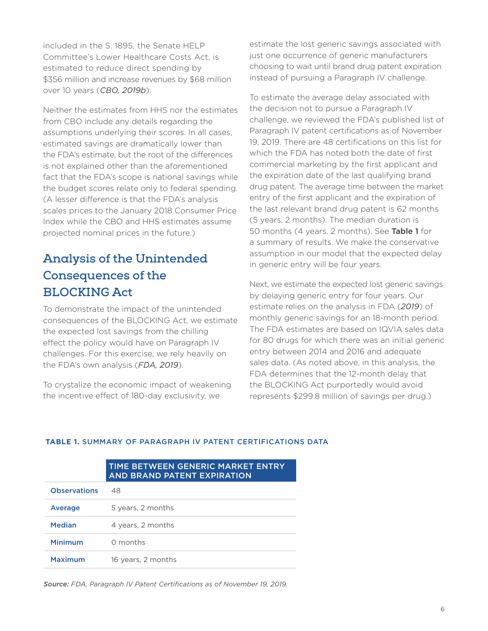included in the S. 1895, the Senate HELP Committee's Lower Healthcare Costs Act, is estimated to reduce direct spending by \$356 million and increase revenues by \$68 million over 10 years (*CBO, 2019b*).

Neither the estimates from HHS nor the estimates from CBO include any details regarding the assumptions underlying their scores. In all cases, estimated savings are dramatically lower than the FDA's estimate, but the root of the differences is not explained other than the aforementioned fact that the FDA's scope is national savings while the budget scores relate only to federal spending. (A lesser difference is that the FDA's analysis scales prices to the January 2018 Consumer Price Index while the CBO and HHS estimates assume projected nominal prices in the future.)

# **Analysis of the Unintended Consequences of the BLOCKING Act**

To demonstrate the impact of the unintended consequences of the BLOCKING Act, we estimate the expected lost savings from the chilling effect the policy would have on Paragraph IV challenges. For this exercise, we rely heavily on the FDA's own analysis (*FDA, 2019*).

To crystalize the economic impact of weakening the incentive effect of 180-day exclusivity, we

estimate the lost generic savings associated with just one occurrence of generic manufacturers choosing to wait until brand drug patent expiration instead of pursuing a Paragraph IV challenge.

To estimate the average delay associated with the decision not to pursue a Paragraph IV challenge, we reviewed the FDA's published list of Paragraph IV patent certifications as of November 19, 2019. There are 48 certifications on this list for which the FDA has noted both the date of first commercial marketing by the first applicant and the expiration date of the last qualifying brand drug patent. The average time between the market entry of the first applicant and the expiration of the last relevant brand drug patent is 62 months (5 years, 2 months). The median duration is 50 months (4 years, 2 months). See Table 1 for a summary of results. We make the conservative assumption in our model that the expected delay in generic entry will be four years.

Next, we estimate the expected lost generic savings by delaying generic entry for four years. Our estimate relies on the analysis in FDA (*2019*) of monthly generic savings for an 18-month period. The FDA estimates are based on IQVIA sales data for 80 drugs for which there was an initial generic entry between 2014 and 2016 and adequate sales data. (As noted above, in this analysis, the FDA determines that the 12-month delay that the BLOCKING Act purportedly would avoid represents \$299.8 million of savings per drug.)

|                     | AND BRAND PATENT EXPIRATION |
|---------------------|-----------------------------|
| <b>Observations</b> | 48                          |
| Average             | 5 years, 2 months           |
| <b>Median</b>       | 4 years, 2 months           |
| Minimum             | O months                    |
| <b>Maximum</b>      | 16 years, 2 months          |

#### **TABLE 1.** SUMMARY OF PARAGRAPH IV PATENT CERTIFICATIONS DATA

TIME BETWEEN GENERIC MARKET ENTRY

*Source: FDA, Paragraph IV Patent Certifications as of November 19, 2019.*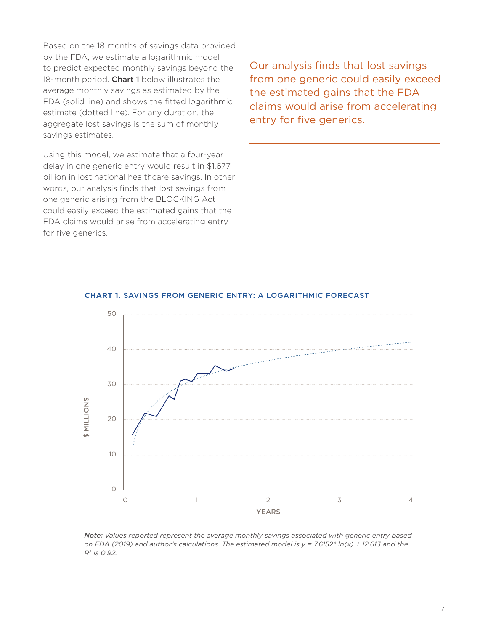Based on the 18 months of savings data provided by the FDA, we estimate a logarithmic model to predict expected monthly savings beyond the 18-month period. Chart 1 below illustrates the average monthly savings as estimated by the FDA (solid line) and shows the fitted logarithmic estimate (dotted line). For any duration, the aggregate lost savings is the sum of monthly savings estimates.

Using this model, we estimate that a four-year delay in one generic entry would result in \$1.677 billion in lost national healthcare savings. In other words, our analysis finds that lost savings from one generic arising from the BLOCKING Act could easily exceed the estimated gains that the FDA claims would arise from accelerating entry for five generics.

Our analysis finds that lost savings from one generic could easily exceed the estimated gains that the FDA claims would arise from accelerating entry for five generics.



#### **CHART 1.** SAVINGS FROM GENERIC ENTRY: A LOGARITHMIC FORECAST

*Note: Values reported represent the average monthly savings associated with generic entry based on FDA (2019) and author's calculations. The estimated model is y = 7.6152\* ln(x) + 12.613 and the R2 is 0.92.*